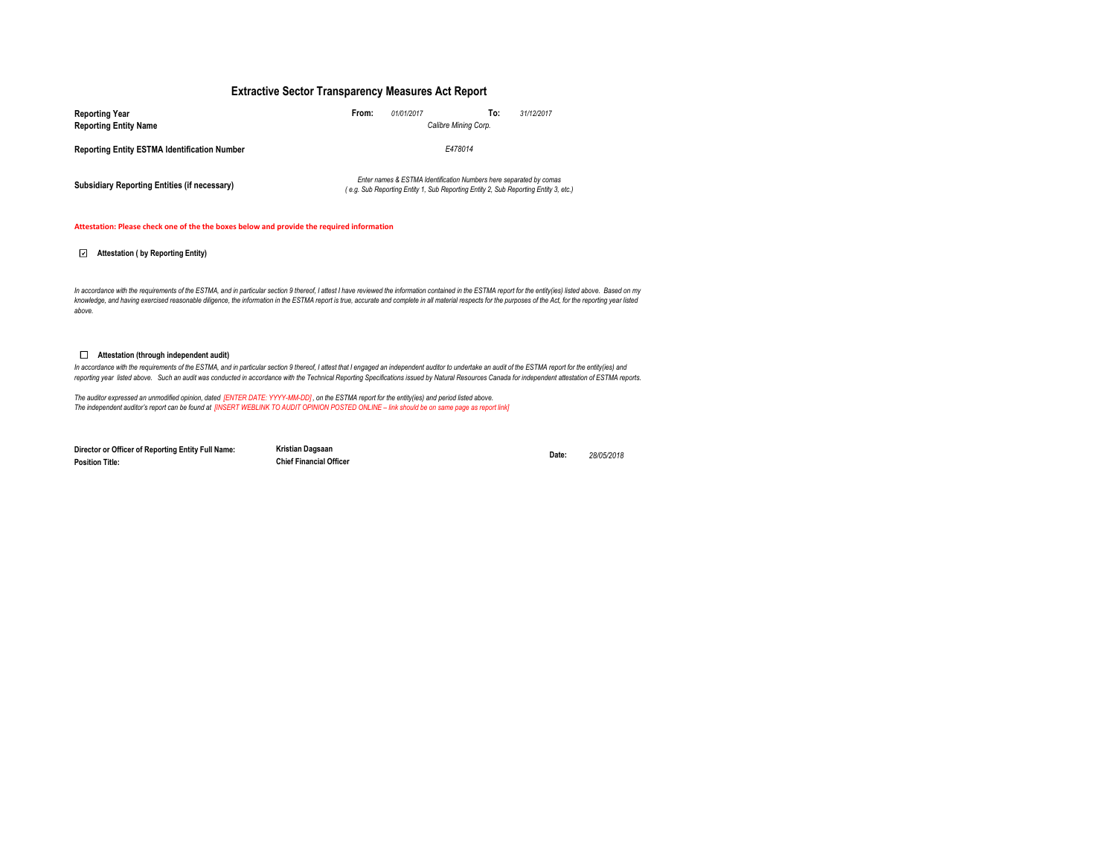### **Extractive Sector Transparency Measures Act Report**

| <b>Reporting Year</b>                               | From:<br>01/01/2017                                                                                                                                       | To:<br>31/12/2017    |  |  |  |  |
|-----------------------------------------------------|-----------------------------------------------------------------------------------------------------------------------------------------------------------|----------------------|--|--|--|--|
| <b>Reporting Entity Name</b>                        |                                                                                                                                                           | Calibre Mining Corp. |  |  |  |  |
| <b>Reporting Entity ESTMA Identification Number</b> | E478014                                                                                                                                                   |                      |  |  |  |  |
| Subsidiary Reporting Entities (if necessary)        | Enter names & ESTMA Identification Numbers here separated by comas<br>(e.g. Sub Reporting Entity 1, Sub Reporting Entity 2, Sub Reporting Entity 3, etc.) |                      |  |  |  |  |

#### **Attestation: Please check one of the the boxes below and provide the required information**

### **Attestation ( by Reporting Entity)**

In accordance with the requirements of the ESTMA, and in particular section 9 thereof, I attest I have reviewed the information contained in the ESTMA report for the entity(ies) listed above. Based on my *knowledge, and having exercised reasonable diligence, the information in the ESTMA report is true, accurate and complete in all material respects for the purposes of the Act, for the reporting year listed above.* 

#### **Attestation (through independent audit)**

In accordance with the requirements of the ESTMA, and in particular section 9 thereof, I attest that I engaged an independent auditor to undertake an audit of the ESTMA report for the entity(ies) and *reporting year listed above. Such an audit was conducted in accordance with the Technical Reporting Specifications issued by Natural Resources Canada for independent attestation of ESTMA reports.* 

The auditor expressed an unmodified opinion, dated [ENTER DATE: YYYY-MM-DD], on the ESTMA report for the entity(ies) and period listed above.<br>The independent auditor's report can be found at [INSERT WEBLINK TO AUDIT OPINIO

**Director or Officer of Reporting Entity Full Name: Position Title:**

**Kristian Dagsaan Date:** *28/05/2018* **Chief Financial Officer**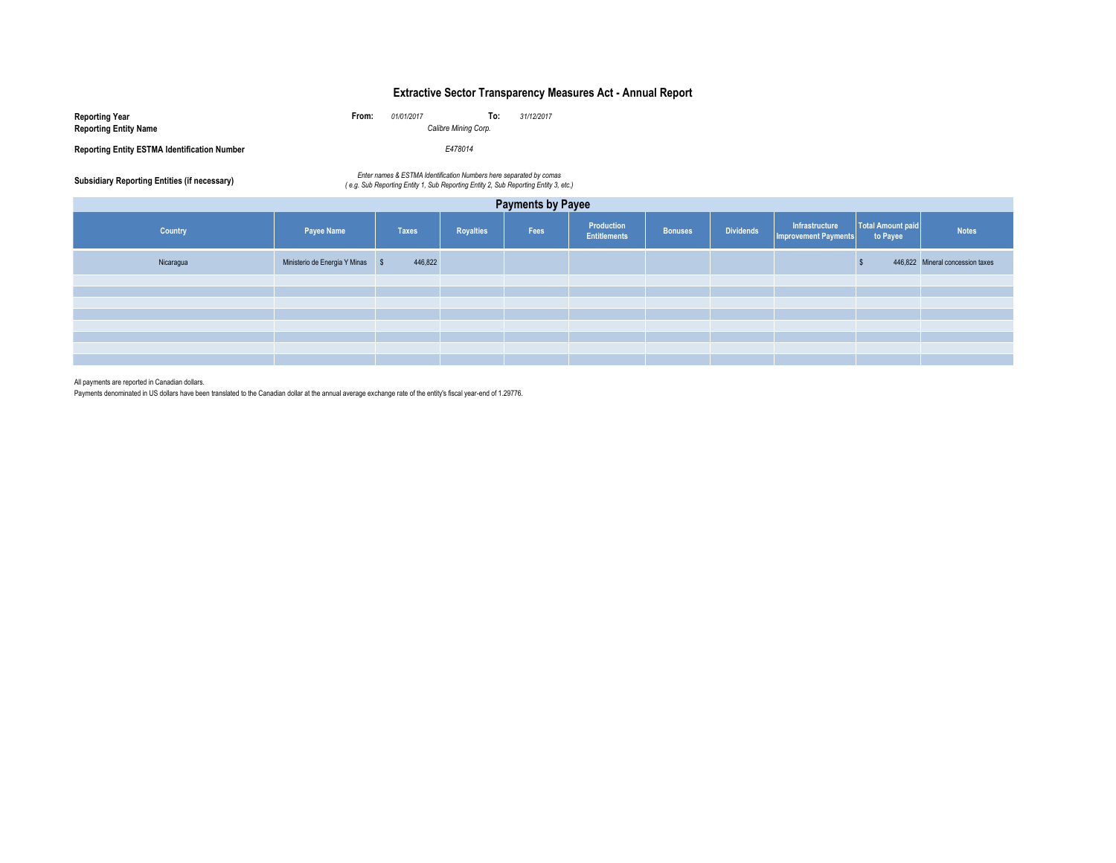# **Extractive Sector Transparency Measures Act - Annual Report**

| Reporting Year                                      | From:                | 01/01/2017 | To:     | 31/12/2017 |
|-----------------------------------------------------|----------------------|------------|---------|------------|
| <b>Reporting Entity Name</b>                        | Calibre Mining Corp. |            |         |            |
| <b>Reporting Entity ESTMA Identification Number</b> |                      |            | E478014 |            |

Enter names & ESTMA Identification Numbers here separated by comas<br>e.g. Sub Reporting Entity 1, Sub Reporting Entity 2, Sub Reporting Entity 2, Sub Reporting Entity 3, etc.)

| <b>Payments by Payee</b> |                                  |              |           |      |                                   |                |                  |                                      |                               |                                  |
|--------------------------|----------------------------------|--------------|-----------|------|-----------------------------------|----------------|------------------|--------------------------------------|-------------------------------|----------------------------------|
| Country                  | Payee Name                       | <b>Taxes</b> | Royalties | Fees | Production<br><b>Entitlements</b> | <b>Bonuses</b> | <b>Dividends</b> | Infrastructure Tumprovement Payments | Total Amount paid<br>to Payee | <b>Notes</b>                     |
| Nicaragua                | Ministerio de Energia Y Minas \$ | 446,822      |           |      |                                   |                |                  |                                      |                               | 446,822 Mineral concession taxes |
|                          |                                  |              |           |      |                                   |                |                  |                                      |                               |                                  |
|                          |                                  |              |           |      |                                   |                |                  |                                      |                               |                                  |
|                          |                                  |              |           |      |                                   |                |                  |                                      |                               |                                  |
|                          |                                  |              |           |      |                                   |                |                  |                                      |                               |                                  |
|                          |                                  |              |           |      |                                   |                |                  |                                      |                               |                                  |
|                          |                                  |              |           |      |                                   |                |                  |                                      |                               |                                  |
|                          |                                  |              |           |      |                                   |                |                  |                                      |                               |                                  |
|                          |                                  |              |           |      |                                   |                |                  |                                      |                               |                                  |

All payments are reported in Canadian dollars.

Payments denominated in US dollars have been translated to the Canadian dollar at the annual average exchange rate of the entity's fiscal year-end of 1.29776.